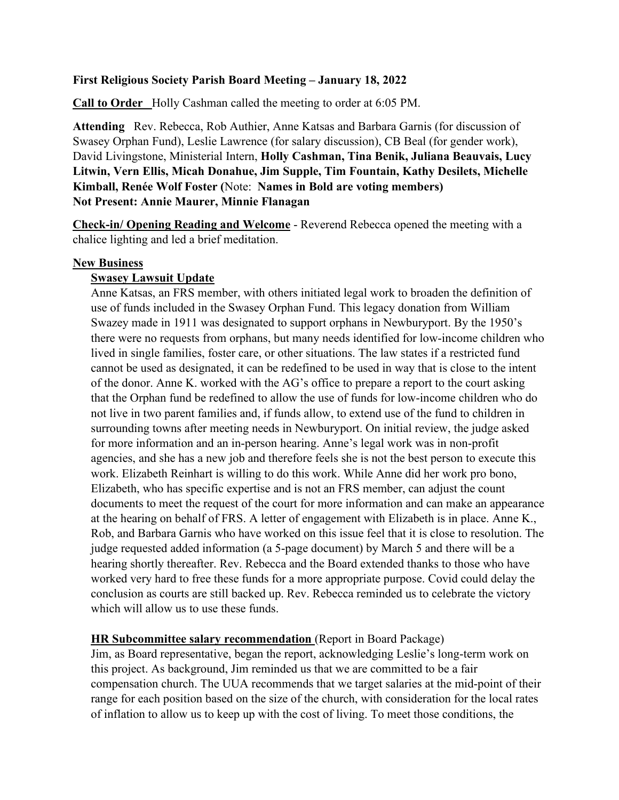#### **First Religious Society Parish Board Meeting – January 18, 2022**

**Call to Order** Holly Cashman called the meeting to order at 6:05 PM.

**Attending** Rev. Rebecca, Rob Authier, Anne Katsas and Barbara Garnis (for discussion of Swasey Orphan Fund), Leslie Lawrence (for salary discussion), CB Beal (for gender work), David Livingstone, Ministerial Intern, **Holly Cashman, Tina Benik, Juliana Beauvais, Lucy Litwin, Vern Ellis, Micah Donahue, Jim Supple, Tim Fountain, Kathy Desilets, Michelle Kimball, Renée Wolf Foster (**Note: **Names in Bold are voting members) Not Present: Annie Maurer, Minnie Flanagan**

**Check-in/ Opening Reading and Welcome** - Reverend Rebecca opened the meeting with a chalice lighting and led a brief meditation.

#### **New Business**

#### **Swasey Lawsuit Update**

Anne Katsas, an FRS member, with others initiated legal work to broaden the definition of use of funds included in the Swasey Orphan Fund. This legacy donation from William Swazey made in 1911 was designated to support orphans in Newburyport. By the 1950's there were no requests from orphans, but many needs identified for low-income children who lived in single families, foster care, or other situations. The law states if a restricted fund cannot be used as designated, it can be redefined to be used in way that is close to the intent of the donor. Anne K. worked with the AG's office to prepare a report to the court asking that the Orphan fund be redefined to allow the use of funds for low-income children who do not live in two parent families and, if funds allow, to extend use of the fund to children in surrounding towns after meeting needs in Newburyport. On initial review, the judge asked for more information and an in-person hearing. Anne's legal work was in non-profit agencies, and she has a new job and therefore feels she is not the best person to execute this work. Elizabeth Reinhart is willing to do this work. While Anne did her work pro bono, Elizabeth, who has specific expertise and is not an FRS member, can adjust the count documents to meet the request of the court for more information and can make an appearance at the hearing on behalf of FRS. A letter of engagement with Elizabeth is in place. Anne K., Rob, and Barbara Garnis who have worked on this issue feel that it is close to resolution. The judge requested added information (a 5-page document) by March 5 and there will be a hearing shortly thereafter. Rev. Rebecca and the Board extended thanks to those who have worked very hard to free these funds for a more appropriate purpose. Covid could delay the conclusion as courts are still backed up. Rev. Rebecca reminded us to celebrate the victory which will allow us to use these funds.

## **HR Subcommittee salary recommendation** (Report in Board Package)

Jim, as Board representative, began the report, acknowledging Leslie's long-term work on this project. As background, Jim reminded us that we are committed to be a fair compensation church. The UUA recommends that we target salaries at the mid-point of their range for each position based on the size of the church, with consideration for the local rates of inflation to allow us to keep up with the cost of living. To meet those conditions, the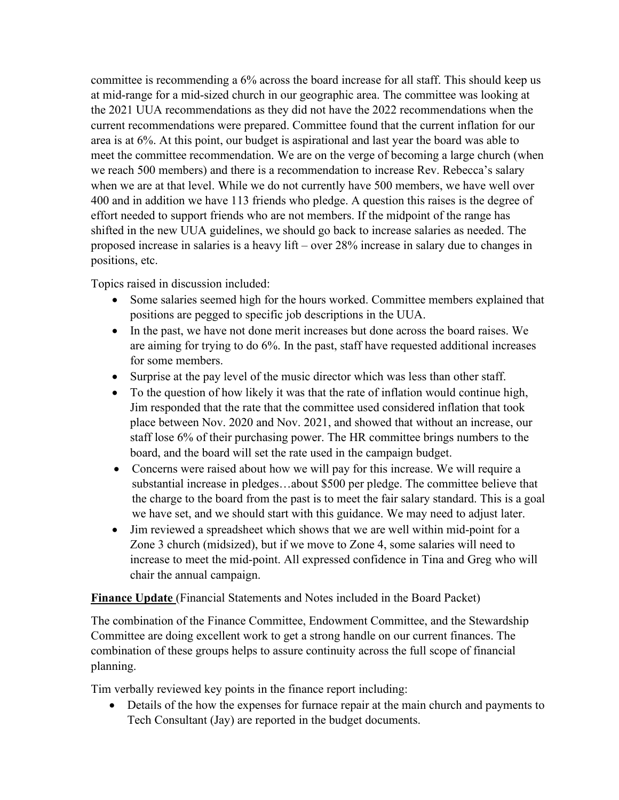committee is recommending a 6% across the board increase for all staff. This should keep us at mid-range for a mid-sized church in our geographic area. The committee was looking at the 2021 UUA recommendations as they did not have the 2022 recommendations when the current recommendations were prepared. Committee found that the current inflation for our area is at 6%. At this point, our budget is aspirational and last year the board was able to meet the committee recommendation. We are on the verge of becoming a large church (when we reach 500 members) and there is a recommendation to increase Rev. Rebecca's salary when we are at that level. While we do not currently have 500 members, we have well over 400 and in addition we have 113 friends who pledge. A question this raises is the degree of effort needed to support friends who are not members. If the midpoint of the range has shifted in the new UUA guidelines, we should go back to increase salaries as needed. The proposed increase in salaries is a heavy lift – over 28% increase in salary due to changes in positions, etc.

Topics raised in discussion included:

- Some salaries seemed high for the hours worked. Committee members explained that positions are pegged to specific job descriptions in the UUA.
- In the past, we have not done merit increases but done across the board raises. We are aiming for trying to do 6%. In the past, staff have requested additional increases for some members.
- Surprise at the pay level of the music director which was less than other staff.
- To the question of how likely it was that the rate of inflation would continue high, Jim responded that the rate that the committee used considered inflation that took place between Nov. 2020 and Nov. 2021, and showed that without an increase, our staff lose 6% of their purchasing power. The HR committee brings numbers to the board, and the board will set the rate used in the campaign budget.
- Concerns were raised about how we will pay for this increase. We will require a substantial increase in pledges…about \$500 per pledge. The committee believe that the charge to the board from the past is to meet the fair salary standard. This is a goal we have set, and we should start with this guidance. We may need to adjust later.
- Jim reviewed a spreadsheet which shows that we are well within mid-point for a Zone 3 church (midsized), but if we move to Zone 4, some salaries will need to increase to meet the mid-point. All expressed confidence in Tina and Greg who will chair the annual campaign.

**Finance Update** (Financial Statements and Notes included in the Board Packet)

The combination of the Finance Committee, Endowment Committee, and the Stewardship Committee are doing excellent work to get a strong handle on our current finances. The combination of these groups helps to assure continuity across the full scope of financial planning.

Tim verbally reviewed key points in the finance report including:

• Details of the how the expenses for furnace repair at the main church and payments to Tech Consultant (Jay) are reported in the budget documents.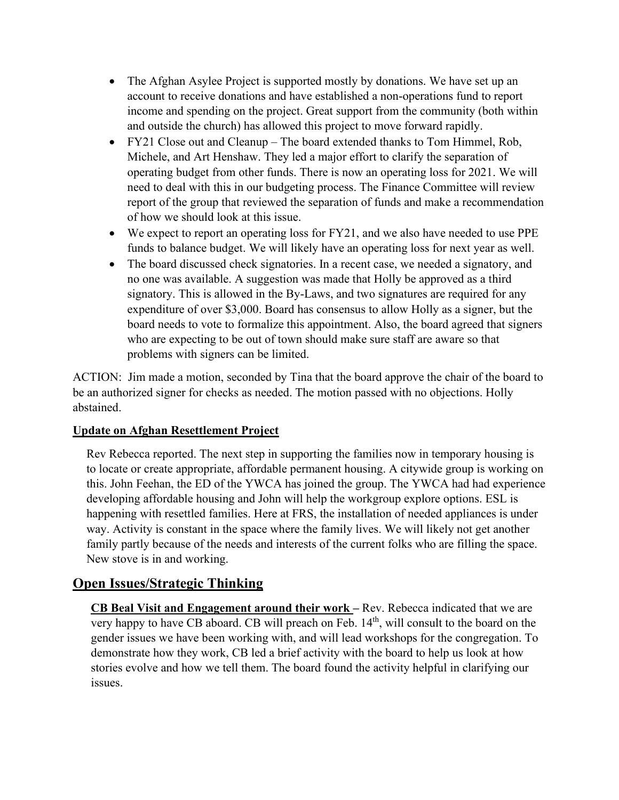- The Afghan Asylee Project is supported mostly by donations. We have set up an account to receive donations and have established a non-operations fund to report income and spending on the project. Great support from the community (both within and outside the church) has allowed this project to move forward rapidly.
- FY21 Close out and Cleanup The board extended thanks to Tom Himmel, Rob, Michele, and Art Henshaw. They led a major effort to clarify the separation of operating budget from other funds. There is now an operating loss for 2021. We will need to deal with this in our budgeting process. The Finance Committee will review report of the group that reviewed the separation of funds and make a recommendation of how we should look at this issue.
- We expect to report an operating loss for FY21, and we also have needed to use PPE funds to balance budget. We will likely have an operating loss for next year as well.
- The board discussed check signatories. In a recent case, we needed a signatory, and no one was available. A suggestion was made that Holly be approved as a third signatory. This is allowed in the By-Laws, and two signatures are required for any expenditure of over \$3,000. Board has consensus to allow Holly as a signer, but the board needs to vote to formalize this appointment. Also, the board agreed that signers who are expecting to be out of town should make sure staff are aware so that problems with signers can be limited.

ACTION: Jim made a motion, seconded by Tina that the board approve the chair of the board to be an authorized signer for checks as needed. The motion passed with no objections. Holly abstained.

## **Update on Afghan Resettlement Project**

Rev Rebecca reported. The next step in supporting the families now in temporary housing is to locate or create appropriate, affordable permanent housing. A citywide group is working on this. John Feehan, the ED of the YWCA has joined the group. The YWCA had had experience developing affordable housing and John will help the workgroup explore options. ESL is happening with resettled families. Here at FRS, the installation of needed appliances is under way. Activity is constant in the space where the family lives. We will likely not get another family partly because of the needs and interests of the current folks who are filling the space. New stove is in and working.

# **Open Issues/Strategic Thinking**

**CB Beal Visit and Engagement around their work –** Rev. Rebecca indicated that we are very happy to have CB aboard. CB will preach on Feb.  $14<sup>th</sup>$ , will consult to the board on the gender issues we have been working with, and will lead workshops for the congregation. To demonstrate how they work, CB led a brief activity with the board to help us look at how stories evolve and how we tell them. The board found the activity helpful in clarifying our issues.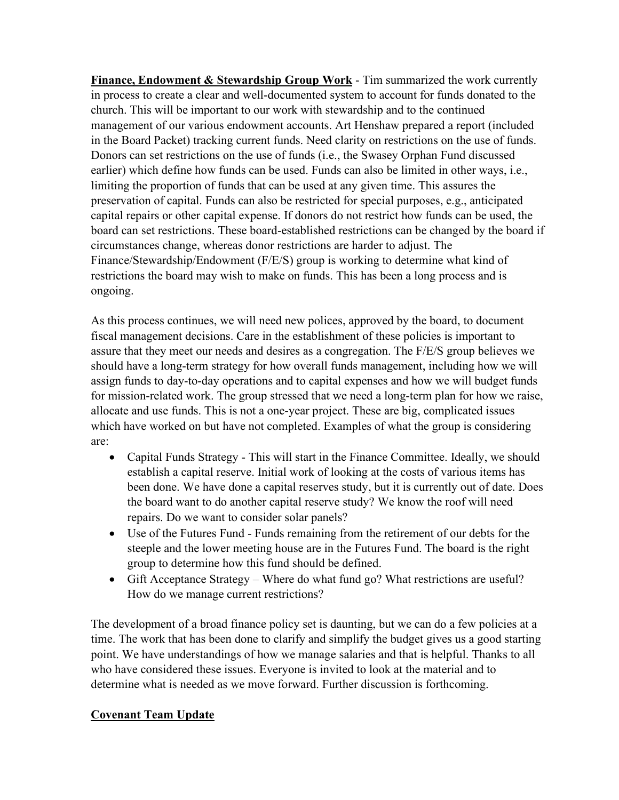**Finance, Endowment & Stewardship Group Work** - Tim summarized the work currently in process to create a clear and well-documented system to account for funds donated to the church. This will be important to our work with stewardship and to the continued management of our various endowment accounts. Art Henshaw prepared a report (included in the Board Packet) tracking current funds. Need clarity on restrictions on the use of funds. Donors can set restrictions on the use of funds (i.e., the Swasey Orphan Fund discussed earlier) which define how funds can be used. Funds can also be limited in other ways, i.e., limiting the proportion of funds that can be used at any given time. This assures the preservation of capital. Funds can also be restricted for special purposes, e.g., anticipated capital repairs or other capital expense. If donors do not restrict how funds can be used, the board can set restrictions. These board-established restrictions can be changed by the board if circumstances change, whereas donor restrictions are harder to adjust. The Finance/Stewardship/Endowment (F/E/S) group is working to determine what kind of restrictions the board may wish to make on funds. This has been a long process and is ongoing.

As this process continues, we will need new polices, approved by the board, to document fiscal management decisions. Care in the establishment of these policies is important to assure that they meet our needs and desires as a congregation. The F/E/S group believes we should have a long-term strategy for how overall funds management, including how we will assign funds to day-to-day operations and to capital expenses and how we will budget funds for mission-related work. The group stressed that we need a long-term plan for how we raise, allocate and use funds. This is not a one-year project. These are big, complicated issues which have worked on but have not completed. Examples of what the group is considering are:

- Capital Funds Strategy This will start in the Finance Committee. Ideally, we should establish a capital reserve. Initial work of looking at the costs of various items has been done. We have done a capital reserves study, but it is currently out of date. Does the board want to do another capital reserve study? We know the roof will need repairs. Do we want to consider solar panels?
- Use of the Futures Fund Funds remaining from the retirement of our debts for the steeple and the lower meeting house are in the Futures Fund. The board is the right group to determine how this fund should be defined.
- Gift Acceptance Strategy Where do what fund go? What restrictions are useful? How do we manage current restrictions?

The development of a broad finance policy set is daunting, but we can do a few policies at a time. The work that has been done to clarify and simplify the budget gives us a good starting point. We have understandings of how we manage salaries and that is helpful. Thanks to all who have considered these issues. Everyone is invited to look at the material and to determine what is needed as we move forward. Further discussion is forthcoming.

# **Covenant Team Update**